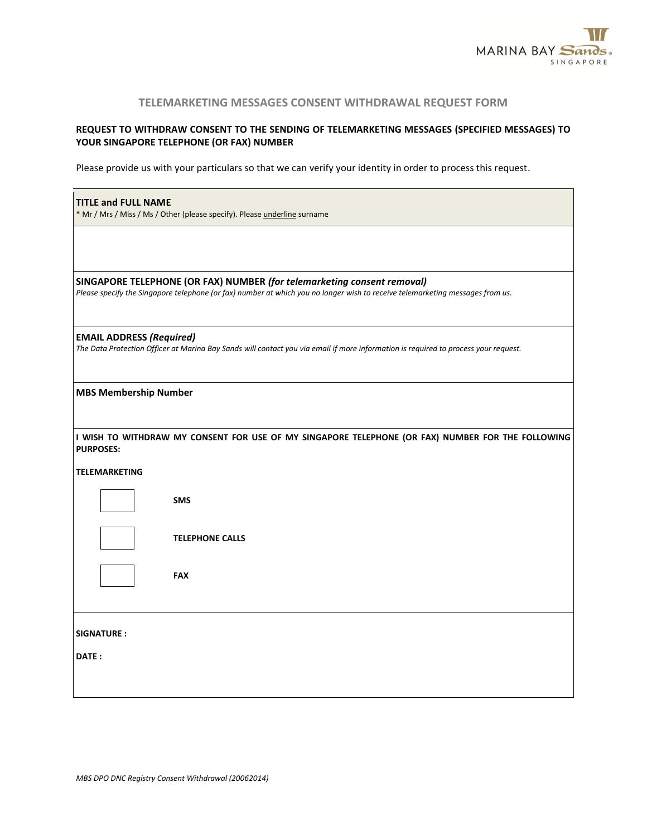

## **TELEMARKETING MESSAGES CONSENT WITHDRAWAL REQUEST FORM**

## **REQUEST TO WITHDRAW CONSENT TO THE SENDING OF TELEMARKETING MESSAGES (SPECIFIED MESSAGES) TO YOUR SINGAPORE TELEPHONE (OR FAX) NUMBER**

Please provide us with your particulars so that we can verify your identity in order to process this request.

| <b>TITLE and FULL NAME</b><br>* Mr / Mrs / Miss / Ms / Other (please specify). Please underline surname                                                                |                                                                                                                                                                                                          |  |  |  |
|------------------------------------------------------------------------------------------------------------------------------------------------------------------------|----------------------------------------------------------------------------------------------------------------------------------------------------------------------------------------------------------|--|--|--|
|                                                                                                                                                                        |                                                                                                                                                                                                          |  |  |  |
|                                                                                                                                                                        | SINGAPORE TELEPHONE (OR FAX) NUMBER (for telemarketing consent removal)<br>Please specify the Singapore telephone (or fax) number at which you no longer wish to receive telemarketing messages from us. |  |  |  |
| <b>EMAIL ADDRESS (Required)</b><br>The Data Protection Officer at Marina Bay Sands will contact you via email if more information is required to process your request. |                                                                                                                                                                                                          |  |  |  |
| <b>MBS Membership Number</b>                                                                                                                                           |                                                                                                                                                                                                          |  |  |  |
| <b>PURPOSES:</b>                                                                                                                                                       | I WISH TO WITHDRAW MY CONSENT FOR USE OF MY SINGAPORE TELEPHONE (OR FAX) NUMBER FOR THE FOLLOWING                                                                                                        |  |  |  |
| <b>TELEMARKETING</b>                                                                                                                                                   |                                                                                                                                                                                                          |  |  |  |
|                                                                                                                                                                        | <b>SMS</b>                                                                                                                                                                                               |  |  |  |
|                                                                                                                                                                        | <b>TELEPHONE CALLS</b>                                                                                                                                                                                   |  |  |  |
|                                                                                                                                                                        | <b>FAX</b>                                                                                                                                                                                               |  |  |  |
| <b>SIGNATURE:</b>                                                                                                                                                      |                                                                                                                                                                                                          |  |  |  |
| DATE:                                                                                                                                                                  |                                                                                                                                                                                                          |  |  |  |
|                                                                                                                                                                        |                                                                                                                                                                                                          |  |  |  |